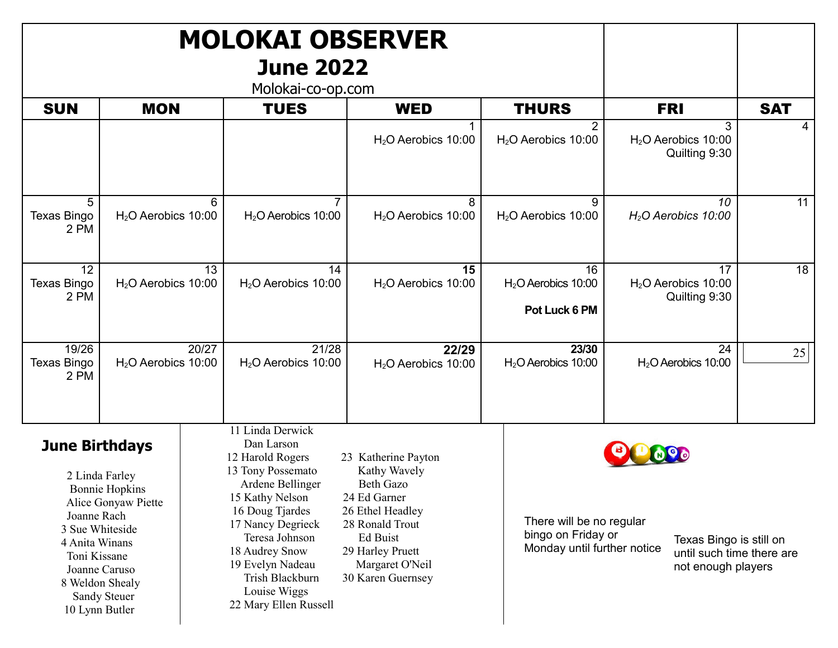| <b>MOLOKAI OBSERVER</b><br><b>June 2022</b><br>Molokai-co-op.com                                                                                                                                                                         |                               |  |                                                                                                                                                                                                                                                                            |                                                                                                                                                                                        |                                                                                                                                                             |            |                                             |            |
|------------------------------------------------------------------------------------------------------------------------------------------------------------------------------------------------------------------------------------------|-------------------------------|--|----------------------------------------------------------------------------------------------------------------------------------------------------------------------------------------------------------------------------------------------------------------------------|----------------------------------------------------------------------------------------------------------------------------------------------------------------------------------------|-------------------------------------------------------------------------------------------------------------------------------------------------------------|------------|---------------------------------------------|------------|
| <b>SUN</b>                                                                                                                                                                                                                               | <b>MON</b>                    |  | <b>TUES</b>                                                                                                                                                                                                                                                                | <b>WED</b>                                                                                                                                                                             | <b>THURS</b>                                                                                                                                                | <b>FRI</b> |                                             | <b>SAT</b> |
|                                                                                                                                                                                                                                          |                               |  |                                                                                                                                                                                                                                                                            | $H2O$ Aerobics 10:00                                                                                                                                                                   | 2<br>$H2O$ Aerobics 10:00                                                                                                                                   |            | 3<br>$H2O$ Aerobics 10:00<br>Quilting 9:30  | 4          |
| 5<br><b>Texas Bingo</b><br>2 PM                                                                                                                                                                                                          | 6<br>$H2O$ Aerobics 10:00     |  | $\overline{7}$<br>$H2O$ Aerobics 10:00                                                                                                                                                                                                                                     | 8<br>$H2O$ Aerobics 10:00                                                                                                                                                              | 9<br>$H2O$ Aerobics 10:00                                                                                                                                   |            | 10<br>$H2O$ Aerobics 10:00                  | 11         |
| 12<br>Texas Bingo<br>2 PM                                                                                                                                                                                                                | 13<br>$H2O$ Aerobics 10:00    |  | 14<br>H <sub>2</sub> O Aerobics 10:00                                                                                                                                                                                                                                      | 15<br>$H2O$ Aerobics 10:00                                                                                                                                                             | 16<br>$H2O$ Aerobics 10:00<br>Pot Luck 6 PM                                                                                                                 |            | 17<br>$H2O$ Aerobics 10:00<br>Quilting 9:30 | 18         |
| 19/26<br>Texas Bingo<br>2 PM                                                                                                                                                                                                             | 20/27<br>$H2O$ Aerobics 10:00 |  | 21/28<br>$H2O$ Aerobics 10:00                                                                                                                                                                                                                                              | 22/29<br>$H2O$ Aerobics 10:00                                                                                                                                                          | 23/30<br>$H2O$ Aerobics 10:00                                                                                                                               |            | 24<br>$H2O$ Aerobics 10:00                  | 25         |
| <b>June Birthdays</b><br>2 Linda Farley<br><b>Bonnie Hopkins</b><br>Alice Gonyaw Piette<br>Joanne Rach<br>3 Sue Whiteside<br>4 Anita Winans<br>Toni Kissane<br>Joanne Caruso<br>8 Weldon Shealy<br><b>Sandy Steuer</b><br>10 Lynn Butler |                               |  | 11 Linda Derwick<br>Dan Larson<br>12 Harold Rogers<br>13 Tony Possemato<br>Ardene Bellinger<br>15 Kathy Nelson<br>16 Doug Tjardes<br>17 Nancy Degrieck<br>Teresa Johnson<br>18 Audrey Snow<br>19 Evelyn Nadeau<br>Trish Blackburn<br>Louise Wiggs<br>22 Mary Ellen Russell | 23 Katherine Payton<br>Kathy Wavely<br><b>Beth Gazo</b><br>24 Ed Garner<br>26 Ethel Headley<br>28 Ronald Trout<br>Ed Buist<br>29 Harley Pruett<br>Margaret O'Neil<br>30 Karen Guernsey | There will be no regular<br>bingo on Friday or<br>Texas Bingo is still on<br>Monday until further notice<br>until such time there are<br>not enough players |            |                                             |            |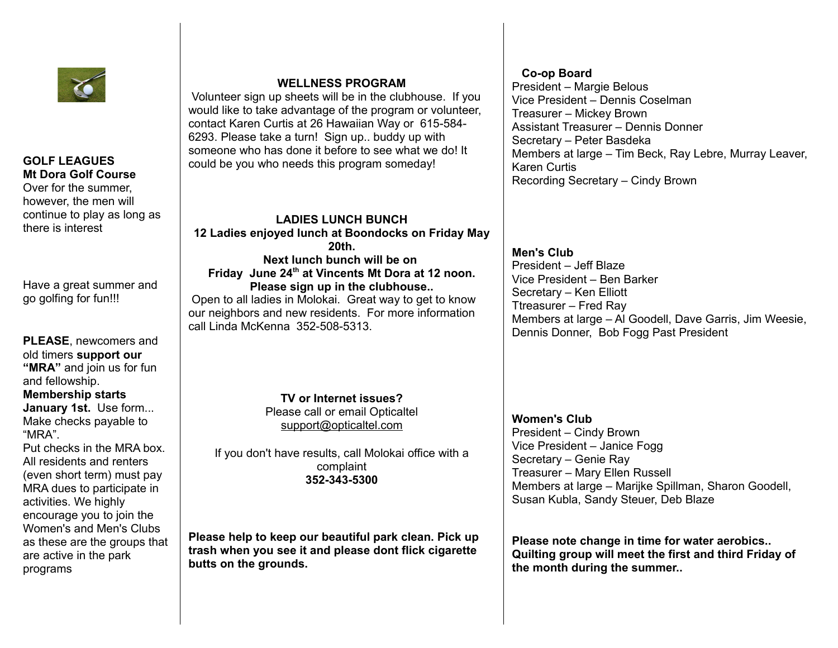

## **GOLF LEAGUES Mt Dora Golf Course**

Over for the summer, however, the men will continue to play as long as there is interest

Have a great summer and go golfing for fun!!!

**PLEASE**, newcomers and old timers **support our "MRA"** and join us for fun and fellowship. **Membership starts** 

**January 1st.** Use form... Make checks payable to "MRA".

Put checks in the MRA box. All residents and renters (even short term) must pay MRA dues to participate in activities. We highly encourage you to join the Women's and Men's Clubs as these are the groups that are active in the park programs

## **WELLNESS PROGRAM**

 Volunteer sign up sheets will be in the clubhouse. If you would like to take advantage of the program or volunteer, contact Karen Curtis at 26 Hawaiian Way or 615-584- 6293. Please take a turn! Sign up.. buddy up with someone who has done it before to see what we do! It could be you who needs this program someday!

**LADIES LUNCH BUNCH 12 Ladies enjoyed lunch at Boondocks on Friday May 20th. Next lunch bunch will be on Friday June 24th at Vincents Mt Dora at 12 noon. Please sign up in the clubhouse..** Open to all ladies in Molokai. Great way to get to know our neighbors and new residents. For more information

call Linda McKenna 352-508-5313.

**TV or Internet issues?** Please call or email Opticaltel [support@opticaltel.com](mailto:support@opticaltel.com)

If you don't have results, call Molokai office with a complaint **352-343-5300**

**Please help to keep our beautiful park clean. Pick up trash when you see it and please dont flick cigarette butts on the grounds.** 

## **Co-op Board**

President – Margie Belous Vice President – Dennis Coselman Treasurer – Mickey Brown Assistant Treasurer – Dennis Donner Secretary – Peter Basdeka Members at large – Tim Beck, Ray Lebre, Murray Leaver, Karen Curtis Recording Secretary – Cindy Brown

**Men's Club** President – Jeff Blaze Vice President – Ben Barker Secretary – Ken Elliott Ttreasurer – Fred Ray Members at large – Al Goodell, Dave Garris, Jim Weesie, Dennis Donner, Bob Fogg Past President

## **Women's Club**

President – Cindy Brown Vice President – Janice Fogg Secretary – Genie Ray Treasurer – Mary Ellen Russell Members at large – Marijke Spillman, Sharon Goodell, Susan Kubla, Sandy Steuer, Deb Blaze

**Please note change in time for water aerobics.. Quilting group will meet the first and third Friday of the month during the summer..**